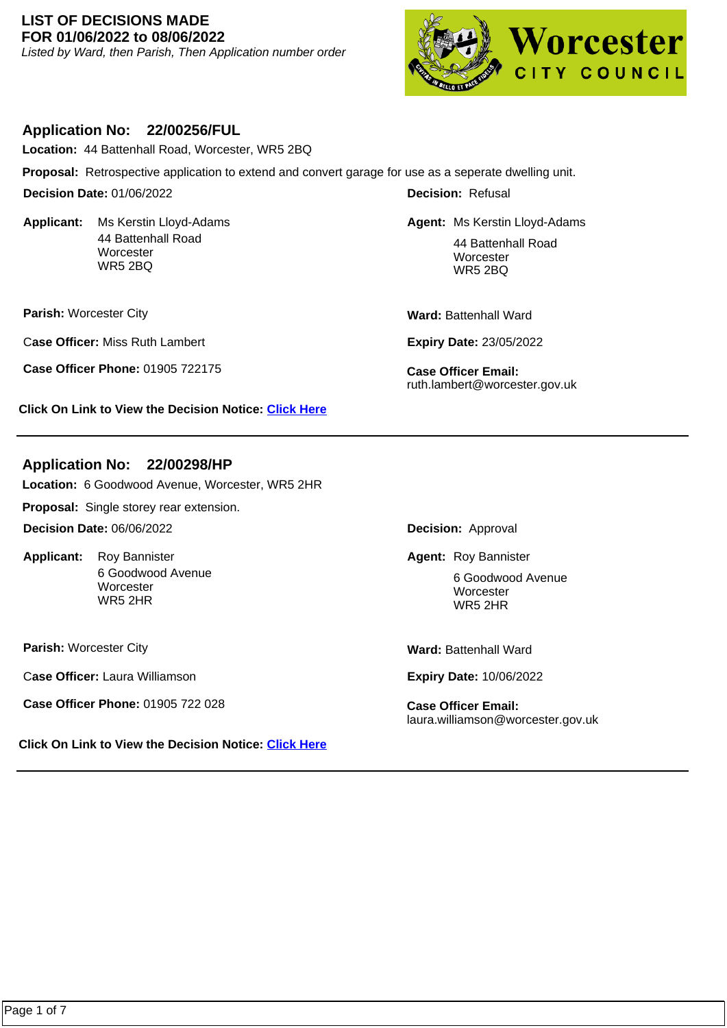### **LIST OF DECISIONS MADE FOR 01/06/2022 to 08/06/2022**

Listed by Ward, then Parish, Then Application number order



## **Application No: 22/00256/FUL**

**Location:** 44 Battenhall Road, Worcester, WR5 2BQ

**Proposal:** Retrospective application to extend and convert garage for use as a seperate dwelling unit.

**Decision Date:** 01/06/2022

**Applicant:**  44 Battenhall Road **Worcester** WR5 2BQ

**Parish:** Worcester City

C**ase Officer:** Miss Ruth Lambert

**Case Officer Phone:** 01905 722175 **Case Officer Email:** 

**Click On Link to View the Decision Notice: [Click Here](https://plan.worcester.gov.uk/Planning/Display/22/00256/FUL)**

# **Application No: 22/00298/HP**

**Location:** 6 Goodwood Avenue, Worcester, WR5 2HR

**Proposal:** Single storey rear extension.

**Decision Date:** 06/06/2022

Applicant: Roy Bannister 6 Goodwood Avenue **Worcester** WR5 2HR

**Parish:** Worcester City

C**ase Officer:** Laura Williamson

**Case Officer Phone:** 01905 722 028 **Case Officer Email:** 

**Click On Link to View the Decision Notice: [Click Here](https://plan.worcester.gov.uk/Planning/Display/22/00298/HP)**

**Decision:** Refusal

**Agent:** Ms Kerstin Lloyd-Adams Ms Kerstin Lloyd-Adams 44 Battenhall Road **Worcester** WR5 2BQ

Ward: Battenhall Ward

**Expiry Date:** 23/05/2022

ruth.lambert@worcester.gov.uk

**Decision:** Approval

Roy Bannister **Roy Bannister Roy Bannister Roy Bannister** 

6 Goodwood Avenue **Worcester** WR5 2HR

**Ward:** Battenhall Ward

**Expiry Date:** 10/06/2022

laura.williamson@worcester.gov.uk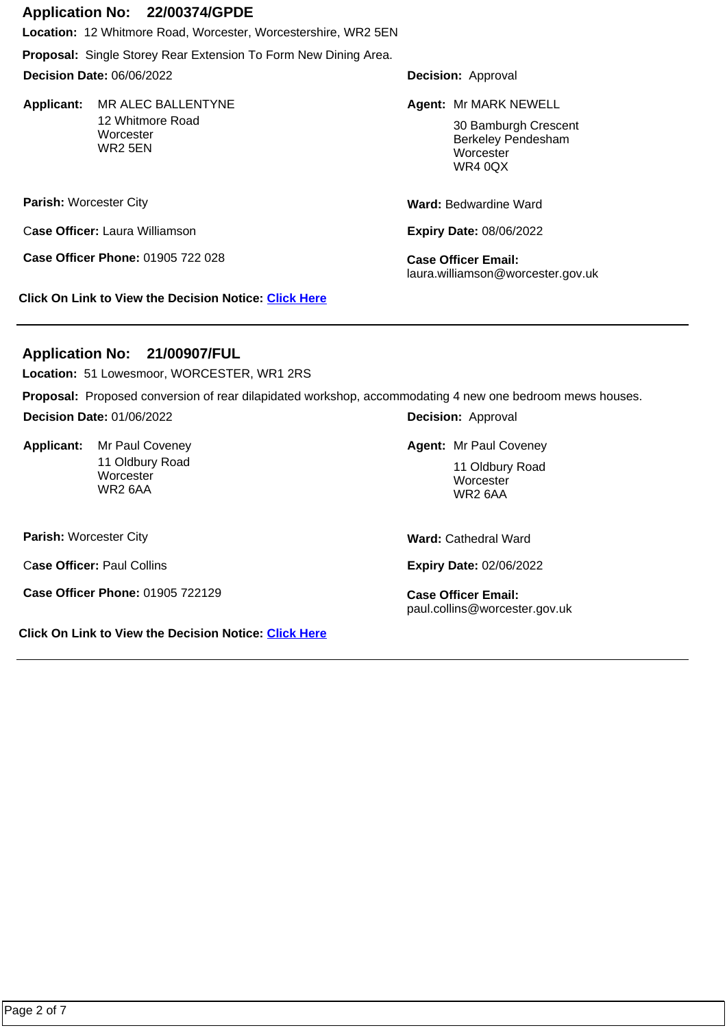### **Application No: 22/00374/GPDE**

**Location:** 12 Whitmore Road, Worcester, Worcestershire, WR2 5EN

**Proposal:** Single Storey Rear Extension To Form New Dining Area.

**Decision Date:** 06/06/2022

Applicant: MR ALEC BALLENTYNE 12 Whitmore Road **Worcester** WR2 5EN

**Parish:** Worcester City

C**ase Officer:** Laura Williamson

**Case Officer Phone:** 01905 722 028 **Case Officer Email:** 

**Click On Link to View the Decision Notice: [Click Here](https://plan.worcester.gov.uk/Planning/Display/22/00374/GPDE)**

**Decision:** Approval

MR ALEC BALLENTYNE **Agent:** Mr MARK NEWELL

30 Bamburgh Crescent Berkeley Pendesham **Worcester** WR4 0QX

**Ward:** Bedwardine Ward

**Expiry Date:** 08/06/2022

laura.williamson@worcester.gov.uk

# **Application No: 21/00907/FUL**

**Location:** 51 Lowesmoor, WORCESTER, WR1 2RS

**Proposal:** Proposed conversion of rear dilapidated workshop, accommodating 4 new one bedroom mews houses.

**Decision Date:** 01/06/2022

Applicant: Mr Paul Coveney 11 Oldbury Road **Worcester** WR2 6AA

**Parish:** Worcester City

C**ase Officer:** Paul Collins

**Case Officer Phone:** 01905 722129 **Case Officer Email:** 

**Click On Link to View the Decision Notice: [Click Here](https://plan.worcester.gov.uk/Planning/Display/21/00907/FUL)**

**Decision:** Approval

**Agent: Mr Paul Coveney Mr Paul Coveney Agent: Mr Paul Coveney** 

11 Oldbury Road **Worcester** WR2 6AA

**Ward:** Cathedral Ward

**Expiry Date:** 02/06/2022

paul.collins@worcester.gov.uk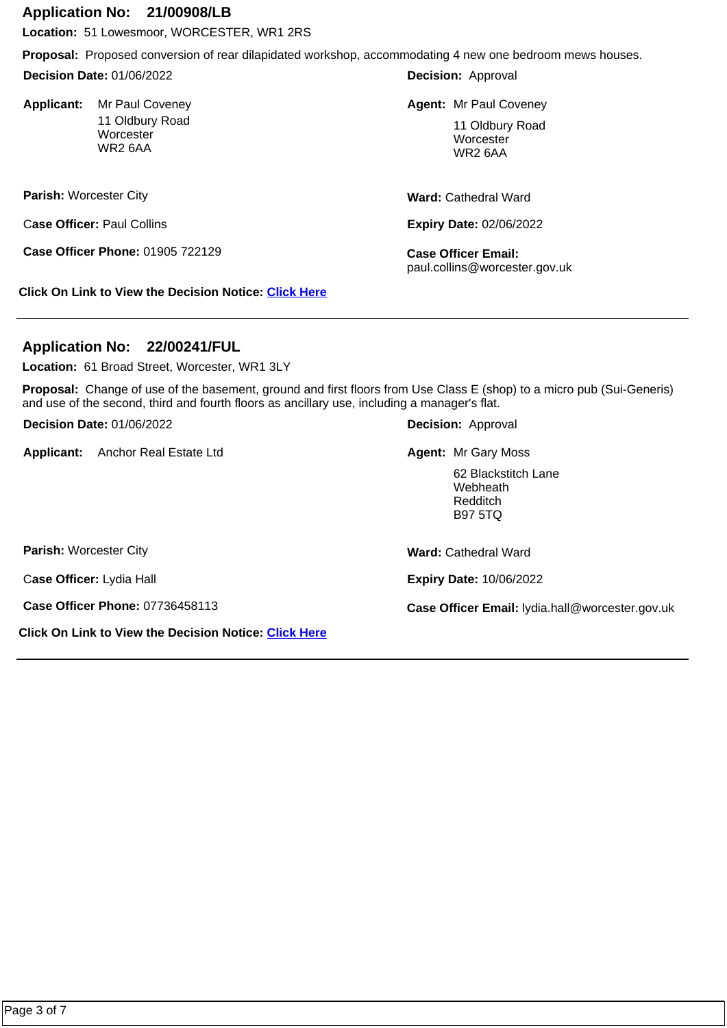#### **Application No: 21/00908/LB**

**Location:** 51 Lowesmoor, WORCESTER, WR1 2RS

**Proposal:** Proposed conversion of rear dilapidated workshop, accommodating 4 new one bedroom mews houses.

**Decision Date:** 01/06/2022

**Applicant:**  11 Oldbury Road **Worcester** WR2 6AA

**Parish:** Worcester City

C**ase Officer:** Paul Collins

**Case Officer Phone:** 01905 722129 **Case Officer Email:** 

**Click On Link to View the Decision Notice: [Click Here](https://plan.worcester.gov.uk/Planning/Display/21/00908/LB)**

**Decision:** Approval

**Agent: Mr Paul Coveney Mr Paul Coveney Agent: Mr Paul Coveney** 

11 Oldbury Road **Worcester** WR2 6AA

**Ward:** Cathedral Ward

**Expiry Date:** 02/06/2022

paul.collins@worcester.gov.uk

## **Application No: 22/00241/FUL**

**Location:** 61 Broad Street, Worcester, WR1 3LY

**Proposal:** Change of use of the basement, ground and first floors from Use Class E (shop) to a micro pub (Sui-Generis) and use of the second, third and fourth floors as ancillary use, including a manager's flat.

**Decision Date:** 01/06/2022

Applicant: Anchor Real Estate Ltd

**Decision:** Approval

Anchor Real Estate Ltd Mateur Mateur Mr Gary Moss

62 Blackstitch Lane **Webheath** Redditch B97 5TQ

**Parish:** Worcester City

C**ase Officer:** Lydia Hall

**Click On Link to View the Decision Notice: [Click Here](https://plan.worcester.gov.uk/Planning/Display/22/00241/FUL)**

**Ward:** Cathedral Ward

**Expiry Date:** 10/06/2022

**Case Officer Phone:** 07736458113 **Case Officer Email:** lydia.hall@worcester.gov.uk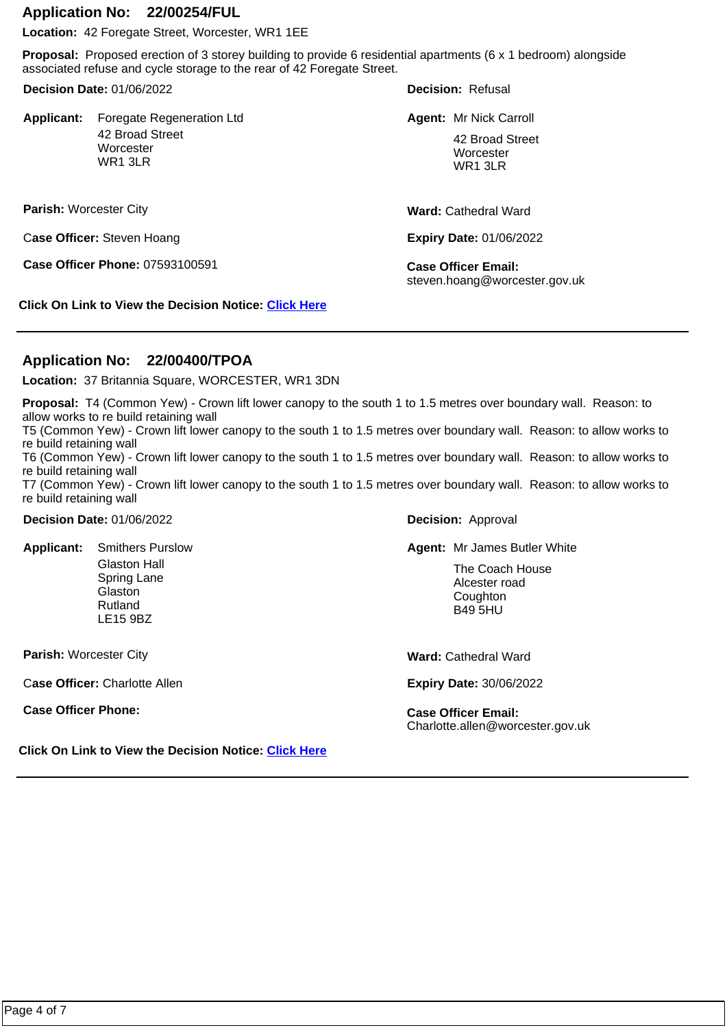#### **Application No: 22/00254/FUL**

**Location:** 42 Foregate Street, Worcester, WR1 1EE

**Proposal:** Proposed erection of 3 storey building to provide 6 residential apartments (6 x 1 bedroom) alongside associated refuse and cycle storage to the rear of 42 Foregate Street.

**Decision Date:** 01/06/2022

**Applicant:** Foregate Regeneration Ltd **Agent:** Mr Nick Carroll **Agent:** Mr Nick Carroll 42 Broad Street **Worcester** WR1 3LR

**Parish:** Worcester City

C**ase Officer:** Steven Hoang

**Case Officer Phone:** 07593100591 **Case Officer Email:** 

**Decision:** Refusal

Agent: Mr Nick Carroll

42 Broad Street **Worcester** WR1 3LR

**Ward:** Cathedral Ward

**Expiry Date:** 01/06/2022

steven.hoang@worcester.gov.uk

**Click On Link to View the Decision Notice: [Click Here](https://plan.worcester.gov.uk/Planning/Display/22/00254/FUL)**

### **Application No: 22/00400/TPOA**

**Location:** 37 Britannia Square, WORCESTER, WR1 3DN

**Proposal:** T4 (Common Yew) - Crown lift lower canopy to the south 1 to 1.5 metres over boundary wall. Reason: to allow works to re build retaining wall

T5 (Common Yew) - Crown lift lower canopy to the south 1 to 1.5 metres over boundary wall. Reason: to allow works to re build retaining wall

T6 (Common Yew) - Crown lift lower canopy to the south 1 to 1.5 metres over boundary wall. Reason: to allow works to re build retaining wall

T7 (Common Yew) - Crown lift lower canopy to the south 1 to 1.5 metres over boundary wall. Reason: to allow works to re build retaining wall

**Decision Date:** 01/06/2022

**Applicant:**  Glaston Hall Spring Lane Glaston Rutland LE15 9BZ

**Parish:** Worcester City

C**ase Officer:** Charlotte Allen

**Case Officer Phone: Case Officer Email:** 

**Decision:** Approval

**Agent: Mr James Butler White** White Smithers Purslow Magent Agent: Mr James Butler White

The Coach House Alcester road **Coughton** B49 5HU

**Ward:** Cathedral Ward

**Expiry Date:** 30/06/2022

Charlotte.allen@worcester.gov.uk

**Click On Link to View the Decision Notice: [Click Here](https://plan.worcester.gov.uk/Planning/Display/22/00400/TPOA)**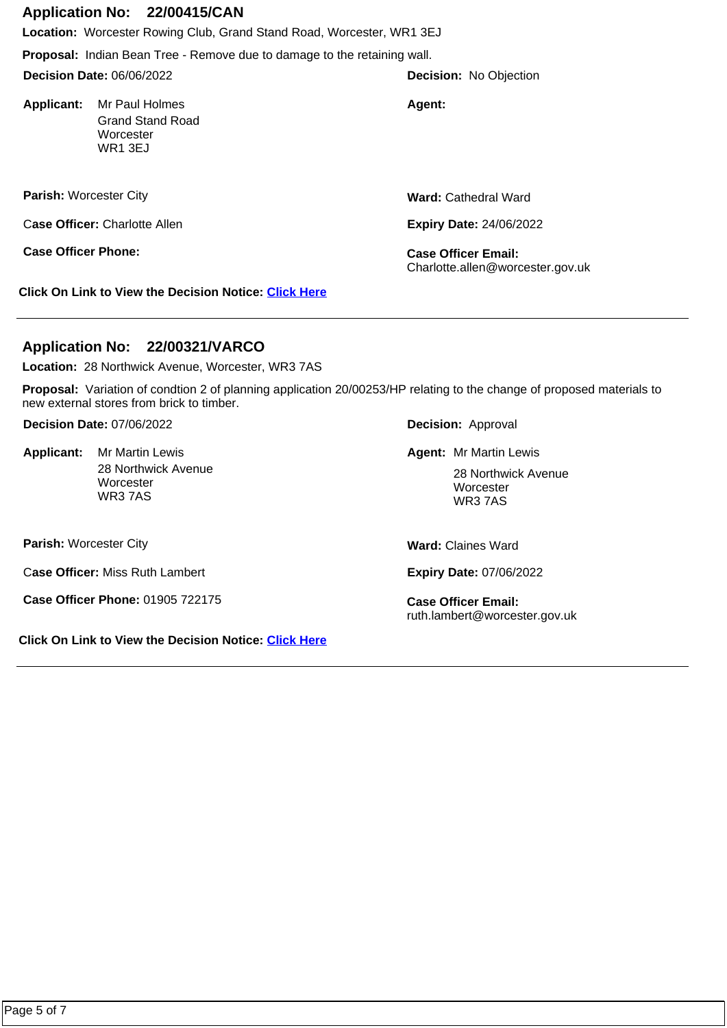# **Application No: 22/00415/CAN**

**Location:** Worcester Rowing Club, Grand Stand Road, Worcester, WR1 3EJ

**Proposal:** Indian Bean Tree - Remove due to damage to the retaining wall.

**Decision Date:** 06/06/2022

**Applicant:** Mr Paul Holmes **Agent: Agent: Agent:** Grand Stand Road **Worcester** WR1 3EJ

**Parish:** Worcester City

C**ase Officer:** Charlotte Allen

**Ward:** Cathedral Ward

**Decision:** No Objection

**Expiry Date:** 24/06/2022

Charlotte.allen@worcester.gov.uk

**Click On Link to View the Decision Notice: [Click Here](https://plan.worcester.gov.uk/Planning/Display/22/00415/CAN)**

# **Application No: 22/00321/VARCO**

**Location:** 28 Northwick Avenue, Worcester, WR3 7AS

**Proposal:** Variation of condtion 2 of planning application 20/00253/HP relating to the change of proposed materials to new external stores from brick to timber.

**Decision Date:** 07/06/2022

28 Northwick Avenue **Worcester** WR3 7AS

**Parish:** Worcester City

C**ase Officer:** Miss Ruth Lambert

**Case Officer Phone:** 01905 722175 **Case Officer Email:** 

**Click On Link to View the Decision Notice: [Click Here](https://plan.worcester.gov.uk/Planning/Display/22/00321/VARCO)**

**Decision:** Approval

**Mr Martin Lewis Mr Martin Lewis Agent:** Mr Martin Lewis

28 Northwick Avenue **Worcester** WR3 7AS

**Ward:** Claines Ward

**Expiry Date:** 07/06/2022

ruth.lambert@worcester.gov.uk

**Case Officer Phone: Case Officer Email:** 

Applicant: Mr Martin Lewis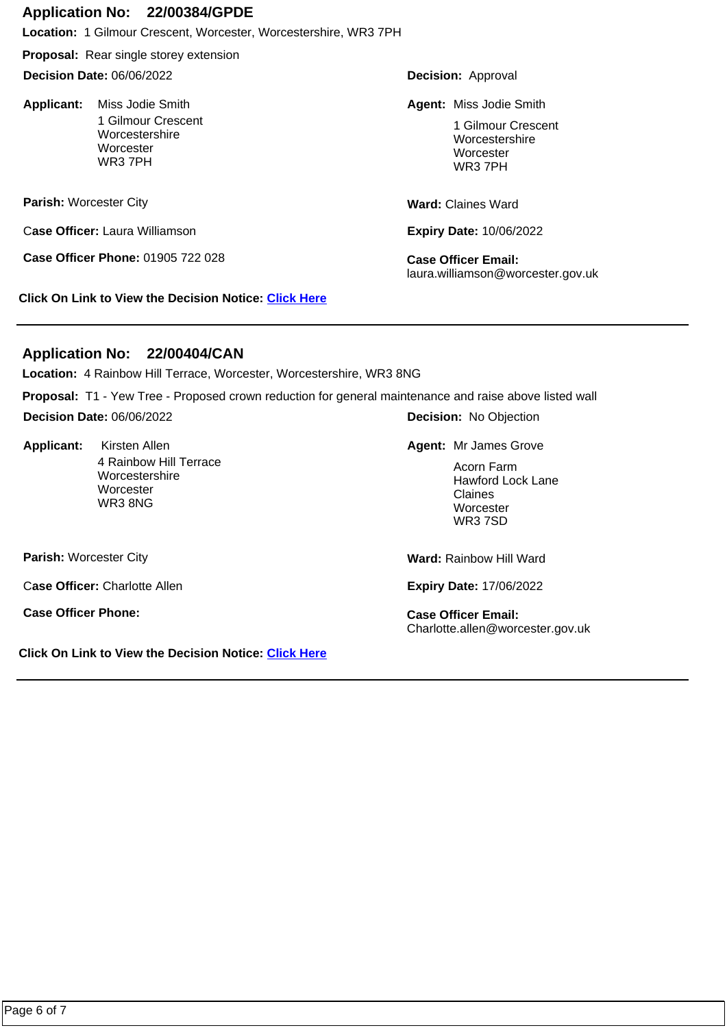### **Application No: 22/00384/GPDE**

**Location:** 1 Gilmour Crescent, Worcester, Worcestershire, WR3 7PH

**Proposal:** Rear single storey extension

**Decision Date:** 06/06/2022

Applicant: Miss Jodie Smith 1 Gilmour Crescent Worcestershire **Worcester** WR3 7PH

**Parish:** Worcester City

C**ase Officer:** Laura Williamson

**Case Officer Phone:** 01905 722 028 **Case Officer Email:** 

**Click On Link to View the Decision Notice: [Click Here](https://plan.worcester.gov.uk/Planning/Display/22/00384/GPDE)**

**Decision:** Approval

**Miss Jodie Smith Miss Jodie Smith Miss Jodie Smith** 

1 Gilmour Crescent Worcestershire **Worcester** WR3 7PH

**Ward:** Claines Ward

**Expiry Date:** 10/06/2022

laura.williamson@worcester.gov.uk

## **Application No: 22/00404/CAN**

**Location:** 4 Rainbow Hill Terrace, Worcester, Worcestershire, WR3 8NG

**Proposal:** T1 - Yew Tree - Proposed crown reduction for general maintenance and raise above listed wall

**Decision Date:** 06/06/2022

**Applicant:**  4 Rainbow Hill Terrace Worcestershire **Worcester** WR3 8NG

**Decision:** No Objection

**Kirsten Allen Mr James Grove Communist Communist Communist Communist Communist Communist Communist Communist Communist Communist Communist Communist Communist Communist Communist Communist Communist Communist Communist Co** 

Acorn Farm Hawford Lock Lane Claines **Worcester** WR3 7SD

**Parish:** Worcester City

C**ase Officer:** Charlotte Allen

**Case Officer Phone: Case Officer Email:** 

**Click On Link to View the Decision Notice: [Click Here](https://plan.worcester.gov.uk/Planning/Display/22/00404/CAN)**

**Ward:** Rainbow Hill Ward

**Expiry Date:** 17/06/2022

Charlotte.allen@worcester.gov.uk